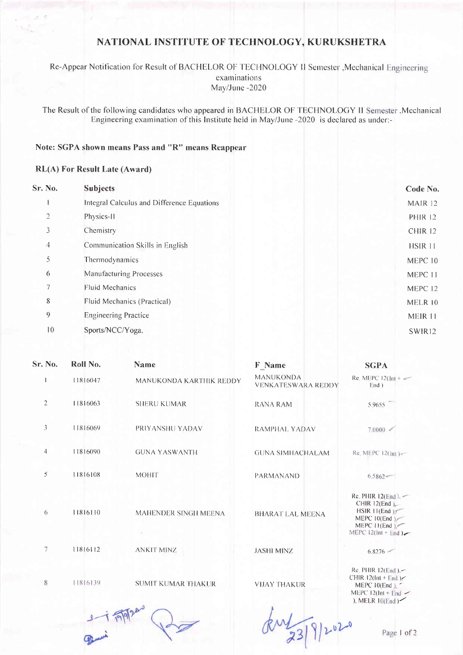## NATIONAL INSTITUTE OF TECHNOLOGY, KURUKSHETRA

Re-Appear Notification for Result of BACHELOR OF TECHNOLOGY II Semester , Mechanical Engineering examinations May/June-2020

The Result of the following candidates who appeared in BACHELOR OF TECHNOLOGY II Semester , Mechanical Engineering examination of this Institute held in May/June -2020 is declared as under:-

## Note: SGPA shown means Pass and "R" means Reappear

## **RL(A) For Result Late (Award)**

| Sr. No.        | <b>Subjects</b>                            | Code No.           |
|----------------|--------------------------------------------|--------------------|
|                | Integral Calculus and Difference Equations | MAIR 12            |
| $\overline{2}$ | Physics-II                                 | <b>PHIR 12</b>     |
| 3              | Chemistry                                  | CHIR <sub>12</sub> |
| 4              | Communication Skills in English            | HSIR 11            |
| 5              | Thermodynamics                             | MEPC 10            |
| 6              | <b>Manufacturing Processes</b>             | MEPC 11            |
| 7              | Fluid Mechanics                            | MEPC 12            |
| 8              | Fluid Mechanics (Practical)                | MELR 10            |
| 9              | <b>Engineering Practice</b>                | MEIR 11            |
| 10             | Sports/NCC/Yoga.                           | SWIR12             |
|                |                                            |                    |

| Sr. No.        | Roll No. | <b>Name</b>               | <b>F</b> Name                                 | <b>SGPA</b>                                                                                                       |
|----------------|----------|---------------------------|-----------------------------------------------|-------------------------------------------------------------------------------------------------------------------|
|                | 11816047 | MANUKONDA KARTHIK REDDY   | <b>MANUKONDA</b><br><b>VENKATESWARA REDDY</b> | Re. MEPC $12$ (Int + $\sim$<br>End )                                                                              |
| $\overline{2}$ | 11816063 | <b>SHERU KUMAR</b>        | RANA RAM                                      | 5.9655                                                                                                            |
| 3              | 11816069 | PRIYANSHU YADAV           | RAMPHAL YADAV                                 | 7.0000                                                                                                            |
| $\overline{4}$ | 11816090 | <b>GUNA YASWANTH</b>      | <b>GUNA SIMHACHALAM</b>                       | Re. MEPC 12(Int)-                                                                                                 |
| 5              | 11816108 | <b>MOHIT</b>              | <b>PARMANAND</b>                              | $6.5862-$                                                                                                         |
| 6              | 11816110 | MAHENDER SINGH MEENA      | <b>BHARAT LAL MEENA</b>                       | Re. PHIR $12(End)$ . $-$<br>CHIR12(End)<br>HSIR 11(End)<br>MEPC $10(End)$<br>MEPC II(End)<br>MEPC $12(int + End)$ |
| 7              | 11816112 | <b>ANKIT MINZ</b>         | <b>JASHI MINZ</b>                             | 6.8276                                                                                                            |
| 8              | 11816139 | <b>SUMIT KUMAR THAKUR</b> | <b>VIJAY THAKUR</b>                           | Re. PHIR $12(End)$ , $-$<br>CHIR $12$ (Int + End)<br>MEPC 10(End), ~<br>MEPC $12$ (Int + End $\sim$               |

 $3 - 17997$ 

Jul 23/9/2020

), MELR 10(End)